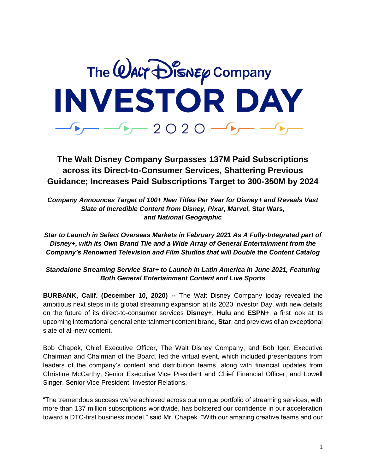

**The Walt Disney Company Surpasses 137M Paid Subscriptions across its Direct-to-Consumer Services, Shattering Previous Guidance; Increases Paid Subscriptions Target to 300-350M by 2024** 

*Company Announces Target of 100+ New Titles Per Year for Disney+ and Reveals Vast Slate of Incredible Content from Disney, Pixar, Marvel,* **Star Wars***, and National Geographic*

*Star to Launch in Select Overseas Markets in February 2021 As A Fully-Integrated part of Disney+, with its Own Brand Tile and a Wide Array of General Entertainment from the Company's Renowned Television and Film Studios that will Double the Content Catalog* 

*Standalone Streaming Service Star+ to Launch in Latin America in June 2021, Featuring Both General Entertainment Content and Live Sports* 

**BURBANK, Calif. (December 10, 2020) --** The Walt Disney Company today revealed the ambitious next steps in its global streaming expansion at its 2020 Investor Day, with new details on the future of its direct-to-consumer services **Disney+**, **Hulu** and **ESPN+**, a first look at its upcoming international general entertainment content brand, **Star**, and previews of an exceptional slate of all-new content.

Bob Chapek, Chief Executive Officer, The Walt Disney Company, and Bob Iger, Executive Chairman and Chairman of the Board, led the virtual event, which included presentations from leaders of the company's content and distribution teams, along with financial updates from Christine McCarthy, Senior Executive Vice President and Chief Financial Officer, and Lowell Singer, Senior Vice President, Investor Relations.

"The tremendous success we've achieved across our unique portfolio of streaming services, with more than 137 million subscriptions worldwide, has bolstered our confidence in our acceleration toward a DTC-first business model," said Mr. Chapek. "With our amazing creative teams and our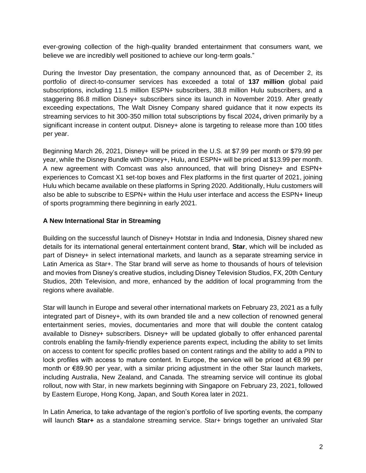ever-growing collection of the high-quality branded entertainment that consumers want, we believe we are incredibly well positioned to achieve our long-term goals."

During the Investor Day presentation, the company announced that, as of December 2, its portfolio of direct-to-consumer services has exceeded a total of **137 million** global paid subscriptions, including 11.5 million ESPN+ subscribers, 38.8 million Hulu subscribers, and a staggering 86.8 million Disney+ subscribers since its launch in November 2019. After greatly exceeding expectations, The Walt Disney Company shared guidance that it now expects its streaming services to hit 300-350 million total subscriptions by fiscal 2024**,** driven primarily by a significant increase in content output. Disney+ alone is targeting to release more than 100 titles per year.

Beginning March 26, 2021, Disney+ will be priced in the U.S. at \$7.99 per month or \$79.99 per year, while the Disney Bundle with Disney+, Hulu, and ESPN+ will be priced at \$13.99 per month. A new agreement with Comcast was also announced, that will bring Disney+ and ESPN+ experiences to Comcast X1 set-top boxes and Flex platforms in the first quarter of 2021, joining Hulu which became available on these platforms in Spring 2020. Additionally, Hulu customers will also be able to subscribe to ESPN+ within the Hulu user interface and access the ESPN+ lineup of sports programming there beginning in early 2021.

## **A New International Star in Streaming**

Building on the successful launch of Disney+ Hotstar in India and Indonesia, Disney shared new details for its international general entertainment content brand, **Star**, which will be included as part of Disney+ in select international markets, and launch as a separate streaming service in Latin America as Star+. The Star brand will serve as home to thousands of hours of television and movies from Disney's creative studios, including Disney Television Studios, FX, 20th Century Studios, 20th Television, and more, enhanced by the addition of local programming from the regions where available.

Star will launch in Europe and several other international markets on February 23, 2021 as a fully integrated part of Disney+, with its own branded tile and a new collection of renowned general entertainment series, movies, documentaries and more that will double the content catalog available to Disney+ subscribers. Disney+ will be updated globally to offer enhanced parental controls enabling the family-friendly experience parents expect, including the ability to set limits on access to content for specific profiles based on content ratings and the ability to add a PIN to lock profiles with access to mature content. In Europe, the service will be priced at €8.99 per month or €89.90 per year, with a similar pricing adjustment in the other Star launch markets, including Australia, New Zealand, and Canada. The streaming service will continue its global rollout, now with Star, in new markets beginning with Singapore on February 23, 2021, followed by Eastern Europe, Hong Kong, Japan, and South Korea later in 2021.

In Latin America, to take advantage of the region's portfolio of live sporting events, the company will launch **Star+** as a standalone streaming service. Star+ brings together an unrivaled Star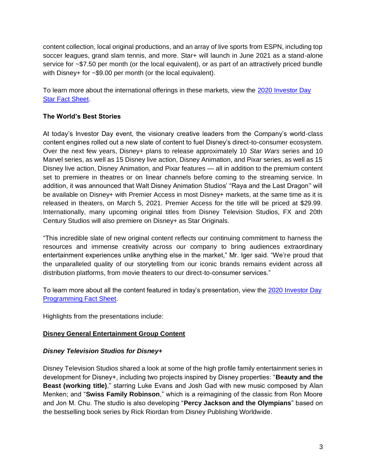content collection, local original productions, and an array of live sports from ESPN, including top soccer leagues, grand slam tennis, and more. Star+ will launch in June 2021 as a stand-alone service for ~\$7.50 per month (or the local equivalent), or as part of an attractively priced bundle with Disney+ for ~\$9.00 per month (or the local equivalent).

To learn more about the international offerings in these markets, view the [2020 Investor Day](https://bit.ly/ID2020Star)  [Star Fact Sheet.](https://bit.ly/ID2020Star)

# **The World's Best Stories**

At today's Investor Day event, the visionary creative leaders from the Company's world-class content engines rolled out a new slate of content to fuel Disney's direct-to-consumer ecosystem. Over the next few years, Disney+ plans to release approximately 10 *Star Wars* series and 10 Marvel series, as well as 15 Disney live action, Disney Animation, and Pixar series, as well as 15 Disney live action, Disney Animation, and Pixar features — all in addition to the premium content set to premiere in theatres or on linear channels before coming to the streaming service. In addition, it was announced that Walt Disney Animation Studios' "Raya and the Last Dragon'' will be available on Disney+ with Premier Access in most Disney+ markets, at the same time as it is released in theaters, on March 5, 2021. Premier Access for the title will be priced at \$29.99. Internationally, many upcoming original titles from Disney Television Studios, FX and 20th Century Studios will also premiere on Disney+ as Star Originals.

"This incredible slate of new original content reflects our continuing commitment to harness the resources and immense creativity across our company to bring audiences extraordinary entertainment experiences unlike anything else in the market," Mr. Iger said. "We're proud that the unparalleled quality of our storytelling from our iconic brands remains evident across all distribution platforms, from movie theaters to our direct-to-consumer services."

To learn more about all the content featured in today's presentation, view the [2020 Investor Day](https://bit.ly/ID2020Programming)  [Programming Fact Sheet.](https://bit.ly/ID2020Programming)

Highlights from the presentations include:

# **Disney General Entertainment Group Content**

# *Disney Television Studios for Disney+*

Disney Television Studios shared a look at some of the high profile family entertainment series in development for Disney+, including two projects inspired by Disney properties: "**Beauty and the Beast (working title)**," starring Luke Evans and Josh Gad with new music composed by Alan Menken; and "**Swiss Family Robinson**," which is a reimagining of the classic from Ron Moore and Jon M. Chu. The studio is also developing "**Percy Jackson and the Olympians**" based on the bestselling book series by Rick Riordan from Disney Publishing Worldwide.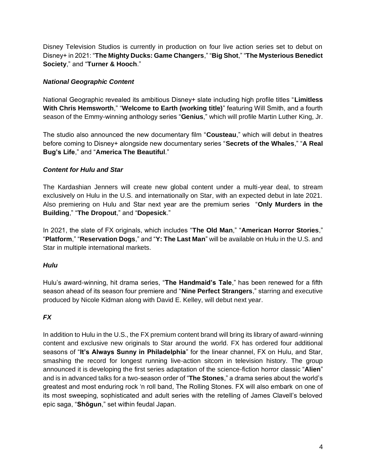Disney Television Studios is currently in production on four live action series set to debut on Disney+ in 2021: "**The Mighty Ducks: Game Changers**," "**Big Shot**," "**The Mysterious Benedict Society**," and "**Turner & Hooch**."

# *National Geographic Content*

National Geographic revealed its ambitious Disney+ slate including high profile titles "**Limitless With Chris Hemsworth**," "**Welcome to Earth (working title)**" featuring Will Smith, and a fourth season of the Emmy-winning anthology series "**Genius**," which will profile Martin Luther King, Jr.

The studio also announced the new documentary film "**Cousteau**," which will debut in theatres before coming to Disney+ alongside new documentary series "**Secrets of the Whales**," "**A Real Bug's Life**," and "**America The Beautiful**."

# *Content for Hulu and Star*

The Kardashian Jenners will create new global content under a multi-year deal, to stream exclusively on Hulu in the U.S. and internationally on Star, with an expected debut in late 2021. Also premiering on Hulu and Star next year are the premium series "**Only Murders in the Building**," "**The Dropout**," and "**Dopesick**."

In 2021, the slate of FX originals, which includes "**The Old Man**," "**American Horror Stories**," "**Platform**," "**Reservation Dogs**," and "**Y: The Last Man**" will be available on Hulu in the U.S. and Star in multiple international markets.

# *Hulu*

Hulu's award-winning, hit drama series, "**The Handmaid's Tale**," has been renewed for a fifth season ahead of its season four premiere and "**Nine Perfect Strangers**," starring and executive produced by Nicole Kidman along with David E. Kelley, will debut next year.

# *FX*

In addition to Hulu in the U.S., the FX premium content brand will bring its library of award-winning content and exclusive new originals to Star around the world. FX has ordered four additional seasons of "**It's Always Sunny in Philadelphia**" for the linear channel, FX on Hulu, and Star, smashing the record for longest running live-action sitcom in television history. The group announced it is developing the first series adaptation of the science-fiction horror classic "**Alien**" and is in advanced talks for a two-season order of "**The Stones**," a drama series about the world's greatest and most enduring rock 'n roll band, The Rolling Stones. FX will also embark on one of its most sweeping, sophisticated and adult series with the retelling of James Clavell's beloved epic saga, "**Shōgun**," set within feudal Japan.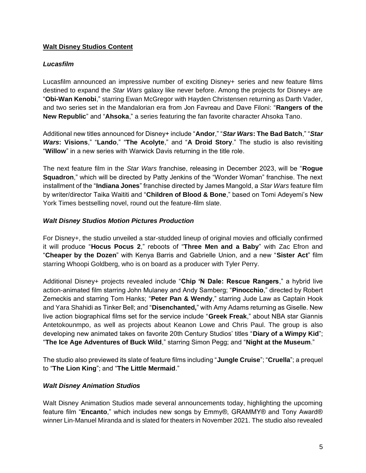# **Walt Disney Studios Content**

## *Lucasfilm*

Lucasfilm announced an impressive number of exciting Disney+ series and new feature films destined to expand the *Star Wars* galaxy like never before. Among the projects for Disney+ are "**Obi-Wan Kenobi**," starring Ewan McGregor with Hayden Christensen returning as Darth Vader, and two series set in the Mandalorian era from Jon Favreau and Dave Filoni: "**Rangers of the New Republic**" and "**Ahsoka**," a series featuring the fan favorite character Ahsoka Tano.

Additional new titles announced for Disney+ include "**Andor**," "*Star Wars***: The Bad Batch**," "*Star Wars***: Visions**," "**Lando**," "**The Acolyte**," and "**A Droid Story**." The studio is also revisiting "**Willow**" in a new series with Warwick Davis returning in the title role.

The next feature film in the *Star Wars* franchise, releasing in December 2023, will be "**Rogue Squadron**," which will be directed by Patty Jenkins of the "Wonder Woman" franchise. The next installment of the "**Indiana Jones**" franchise directed by James Mangold, a *Star Wars* feature film by writer/director Taika Waititi and "**Children of Blood & Bone**," based on Tomi Adeyemi's New York Times bestselling novel, round out the feature-film slate.

## *Walt Disney Studios Motion Pictures Production*

For Disney+, the studio unveiled a star-studded lineup of original movies and officially confirmed it will produce "**Hocus Pocus 2**," reboots of "**Three Men and a Baby**" with Zac Efron and "**Cheaper by the Dozen**" with Kenya Barris and Gabrielle Union, and a new "**Sister Act**" film starring Whoopi Goldberg, who is on board as a producer with Tyler Perry.

Additional Disney+ projects revealed include "**Chip 'N Dale: Rescue Rangers**," a hybrid live action-animated film starring John Mulaney and Andy Samberg; "**Pinocchio**," directed by Robert Zemeckis and starring Tom Hanks; "**Peter Pan & Wendy**," starring Jude Law as Captain Hook and Yara Shahidi as Tinker Bell; and "**Disenchanted,**" with Amy Adams returning as Giselle. New live action biographical films set for the service include "**Greek Freak**," about NBA star Giannis Antetokounmpo, as well as projects about Keanon Lowe and Chris Paul. The group is also developing new animated takes on favorite 20th Century Studios' titles "**Diary of a Wimpy Kid**"; "**The Ice Age Adventures of Buck Wild**," starring Simon Pegg; and "**Night at the Museum**."

The studio also previewed its slate of feature films including "**Jungle Cruise**"; "**Cruella**"; a prequel to "**The Lion King**"; and "**The Little Mermaid**."

# *Walt Disney Animation Studios*

Walt Disney Animation Studios made several announcements today, highlighting the upcoming feature film "**Encanto**," which includes new songs by Emmy®, GRAMMY® and Tony Award® winner Lin-Manuel Miranda and is slated for theaters in November 2021. The studio also revealed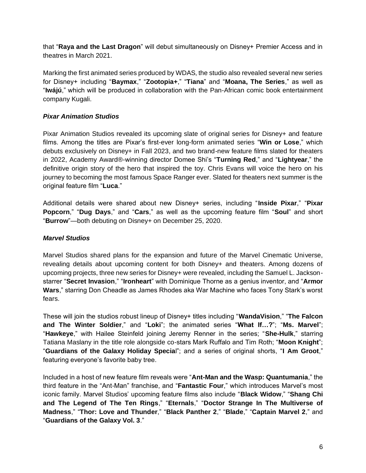that "**Raya and the Last Dragon**" will debut simultaneously on Disney+ Premier Access and in theatres in March 2021.

Marking the first animated series produced by WDAS, the studio also revealed several new series for Disney+ including "**Baymax**," "**Zootopia+**," "**Tiana**" and "**Moana, The Series**," as well as "**Iwájú**," which will be produced in collaboration with the Pan-African comic book entertainment company Kugali.

## *Pixar Animation Studios*

Pixar Animation Studios revealed its upcoming slate of original series for Disney+ and feature films. Among the titles are Pixar's first-ever long-form animated series "**Win or Lose**," which debuts exclusively on Disney+ in Fall 2023, and two brand-new feature films slated for theaters in 2022, Academy Award®-winning director Domee Shi's "**Turning Red**," and "**Lightyear**," the definitive origin story of the hero that inspired the toy. Chris Evans will voice the hero on his journey to becoming the most famous Space Ranger ever. Slated for theaters next summer is the original feature film "**Luca**."

Additional details were shared about new Disney+ series, including "**Inside Pixar**," "**Pixar Popcorn**," "**Dug Days**," and "**Cars**," as well as the upcoming feature film "**Soul**" and short "**Burrow**"—both debuting on Disney+ on December 25, 2020.

#### *Marvel Studios*

Marvel Studios shared plans for the expansion and future of the Marvel Cinematic Universe, revealing details about upcoming content for both Disney+ and theaters. Among dozens of upcoming projects, three new series for Disney+ were revealed, including the Samuel L. Jacksonstarrer "**Secret Invasion**," "**Ironheart**" with Dominique Thorne as a genius inventor, and "**Armor Wars**," starring Don Cheadle as James Rhodes aka War Machine who faces Tony Stark's worst fears.

These will join the studios robust lineup of Disney+ titles including "**WandaVision**," "**The Falcon and The Winter Soldier**," and "**Loki**"; the animated series "**What If…?**"; "**Ms. Marvel**"; "**Hawkeye**," with Hailee Steinfeld joining Jeremy Renner in the series; "**She-Hulk**," starring Tatiana Maslany in the title role alongside co-stars Mark Ruffalo and Tim Roth; "**Moon Knight**"; "**Guardians of the Galaxy Holiday Specia**l"; and a series of original shorts, "**I Am Groot**," featuring everyone's favorite baby tree.

Included in a host of new feature film reveals were "**Ant-Man and the Wasp: Quantumania**," the third feature in the "Ant-Man" franchise, and "**Fantastic Four**," which introduces Marvel's most iconic family. Marvel Studios' upcoming feature films also include "**Black Widow**," "**Shang Chi and The Legend of The Ten Rings**," "**Eternals**," "**Doctor Strange In The Multiverse of Madness**," "**Thor: Love and Thunder**," "**Black Panther 2**," "**Blade**," "**Captain Marvel 2**," and "**Guardians of the Galaxy Vol. 3**."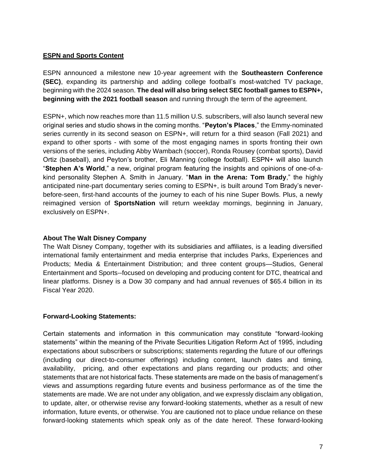## **ESPN and Sports Content**

ESPN announced a milestone new 10-year agreement with the **Southeastern Conference (SEC)**, expanding its partnership and adding college football's most-watched TV package, beginning with the 2024 season. **The deal will also bring select SEC football games to ESPN+, beginning with the 2021 football season** and running through the term of the agreement.

ESPN+, which now reaches more than 11.5 million U.S. subscribers, will also launch several new original series and studio shows in the coming months. "**Peyton's Places**," the Emmy-nominated series currently in its second season on ESPN+, will return for a third season (Fall 2021) and expand to other sports - with some of the most engaging names in sports fronting their own versions of the series, including Abby Wambach (soccer), Ronda Rousey (combat sports), David Ortiz (baseball), and Peyton's brother, Eli Manning (college football). ESPN+ will also launch "**Stephen A's World**," a new, original program featuring the insights and opinions of one-of-akind personality Stephen A. Smith in January. "**Man in the Arena: Tom Brady**," the highly anticipated nine-part documentary series coming to ESPN+, is built around Tom Brady's neverbefore-seen, first-hand accounts of the journey to each of his nine Super Bowls. Plus, a newly reimagined version of **SportsNation** will return weekday mornings, beginning in January, exclusively on ESPN+.

#### **About The Walt Disney Company**

The Walt Disney Company, together with its subsidiaries and affiliates, is a leading diversified international family entertainment and media enterprise that includes Parks, Experiences and Products; Media & Entertainment Distribution; and three content groups—Studios, General Entertainment and Sports--focused on developing and producing content for DTC, theatrical and linear platforms. Disney is a Dow 30 company and had annual revenues of \$65.4 billion in its Fiscal Year 2020.

#### **Forward-Looking Statements:**

Certain statements and information in this communication may constitute "forward-looking statements" within the meaning of the Private Securities Litigation Reform Act of 1995, including expectations about subscribers or subscriptions; statements regarding the future of our offerings (including our direct-to-consumer offerings) including content, launch dates and timing, availability, pricing, and other expectations and plans regarding our products; and other statements that are not historical facts. These statements are made on the basis of management's views and assumptions regarding future events and business performance as of the time the statements are made. We are not under any obligation, and we expressly disclaim any obligation, to update, alter, or otherwise revise any forward-looking statements, whether as a result of new information, future events, or otherwise. You are cautioned not to place undue reliance on these forward-looking statements which speak only as of the date hereof. These forward-looking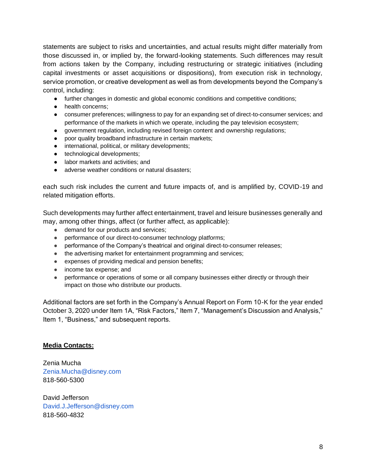statements are subject to risks and uncertainties, and actual results might differ materially from those discussed in, or implied by, the forward-looking statements. Such differences may result from actions taken by the Company, including restructuring or strategic initiatives (including capital investments or asset acquisitions or dispositions), from execution risk in technology, service promotion, or creative development as well as from developments beyond the Company's control, including:

- further changes in domestic and global economic conditions and competitive conditions;
- health concerns;
- consumer preferences; willingness to pay for an expanding set of direct-to-consumer services; and performance of the markets in which we operate, including the pay television ecosystem;
- government regulation, including revised foreign content and ownership regulations;
- poor quality broadband infrastructure in certain markets;
- international, political, or military developments;
- technological developments;
- labor markets and activities; and
- adverse weather conditions or natural disasters;

each such risk includes the current and future impacts of, and is amplified by, COVID-19 and related mitigation efforts.

Such developments may further affect entertainment, travel and leisure businesses generally and may, among other things, affect (or further affect, as applicable):

- demand for our products and services;
- performance of our direct-to-consumer technology platforms;
- performance of the Company's theatrical and original direct-to-consumer releases;
- the advertising market for entertainment programming and services;
- expenses of providing medical and pension benefits;
- income tax expense; and
- performance or operations of some or all company businesses either directly or through their impact on those who distribute our products.

Additional factors are set forth in the Company's Annual Report on Form 10-K for the year ended October 3, 2020 under Item 1A, "Risk Factors," Item 7, "Management's Discussion and Analysis," Item 1, "Business," and subsequent reports.

#### **Media Contacts:**

Zenia Mucha Zenia.Mucha@disney.com 818-560-5300

David Jefferson David.J.Jefferson@disney.com 818-560-4832